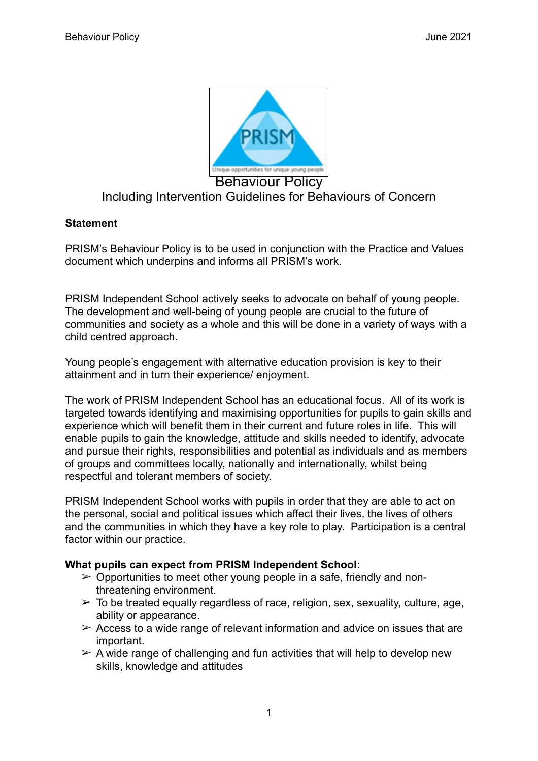

# Including Intervention Guidelines for Behaviours of Concern

#### **Statement**

PRISM's Behaviour Policy is to be used in conjunction with the Practice and Values document which underpins and informs all PRISM's work.

PRISM Independent School actively seeks to advocate on behalf of young people. The development and well-being of young people are crucial to the future of communities and society as a whole and this will be done in a variety of ways with a child centred approach.

Young people's engagement with alternative education provision is key to their attainment and in turn their experience/ enjoyment.

The work of PRISM Independent School has an educational focus. All of its work is targeted towards identifying and maximising opportunities for pupils to gain skills and experience which will benefit them in their current and future roles in life. This will enable pupils to gain the knowledge, attitude and skills needed to identify, advocate and pursue their rights, responsibilities and potential as individuals and as members of groups and committees locally, nationally and internationally, whilst being respectful and tolerant members of society.

PRISM Independent School works with pupils in order that they are able to act on the personal, social and political issues which affect their lives, the lives of others and the communities in which they have a key role to play. Participation is a central factor within our practice.

#### **What pupils can expect from PRISM Independent School:**

- $\triangleright$  Opportunities to meet other young people in a safe, friendly and nonthreatening environment.
- $\geq$  To be treated equally regardless of race, religion, sex, sexuality, culture, age, ability or appearance.
- $\geq$  Access to a wide range of relevant information and advice on issues that are important.
- $\geq$  A wide range of challenging and fun activities that will help to develop new skills, knowledge and attitudes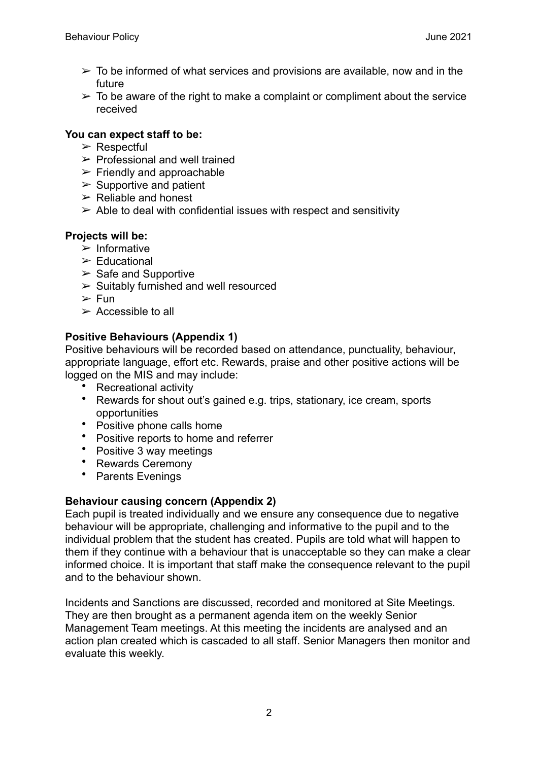- $\geq$  To be informed of what services and provisions are available, now and in the future
- $\geq$  To be aware of the right to make a complaint or compliment about the service received

## **You can expect staff to be:**

- $\triangleright$  Respectful
- $\triangleright$  Professional and well trained
- $\triangleright$  Friendly and approachable
- $\triangleright$  Supportive and patient
- $\triangleright$  Reliable and honest
- $\geq$  Able to deal with confidential issues with respect and sensitivity

## **Projects will be:**

- $\triangleright$  Informative
- $\triangleright$  Educational
- $\triangleright$  Safe and Supportive
- $\geq$  Suitably furnished and well resourced
- $\triangleright$  Fun
- $\triangleright$  Accessible to all

# **Positive Behaviours (Appendix 1)**

Positive behaviours will be recorded based on attendance, punctuality, behaviour, appropriate language, effort etc. Rewards, praise and other positive actions will be logged on the MIS and may include:

- Recreational activity
- Rewards for shout out's gained e.g. trips, stationary, ice cream, sports opportunities
- Positive phone calls home
- Positive reports to home and referrer
- Positive 3 way meetings
- Rewards Ceremony
- Parents Evenings

# **Behaviour causing concern (Appendix 2)**

Each pupil is treated individually and we ensure any consequence due to negative behaviour will be appropriate, challenging and informative to the pupil and to the individual problem that the student has created. Pupils are told what will happen to them if they continue with a behaviour that is unacceptable so they can make a clear informed choice. It is important that staff make the consequence relevant to the pupil and to the behaviour shown.

Incidents and Sanctions are discussed, recorded and monitored at Site Meetings. They are then brought as a permanent agenda item on the weekly Senior Management Team meetings. At this meeting the incidents are analysed and an action plan created which is cascaded to all staff. Senior Managers then monitor and evaluate this weekly.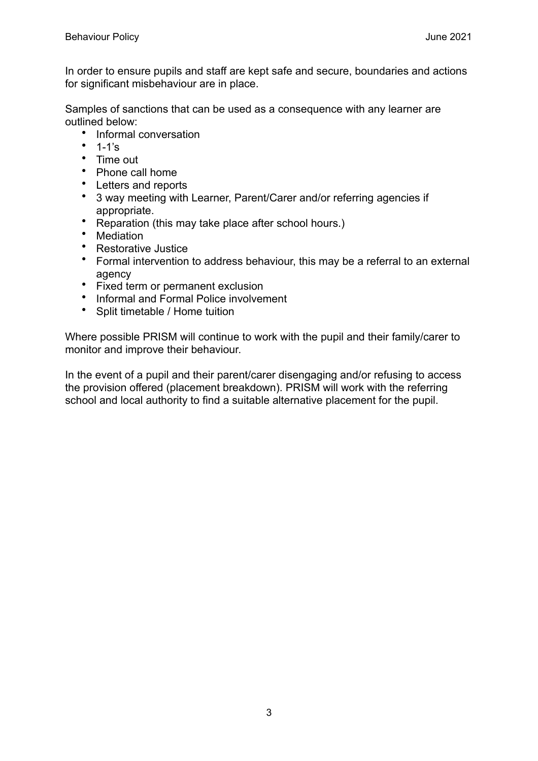In order to ensure pupils and staff are kept safe and secure, boundaries and actions for significant misbehaviour are in place.

Samples of sanctions that can be used as a consequence with any learner are outlined below:

- Informal conversation
- $1-1's$
- Time out
- Phone call home
- Letters and reports
- 3 way meeting with Learner, Parent/Carer and/or referring agencies if appropriate.
- Reparation (this may take place after school hours.)
- Mediation
- Restorative Justice
- Formal intervention to address behaviour, this may be a referral to an external agency
- Fixed term or permanent exclusion
- Informal and Formal Police involvement
- Split timetable / Home tuition

Where possible PRISM will continue to work with the pupil and their family/carer to monitor and improve their behaviour.

In the event of a pupil and their parent/carer disengaging and/or refusing to access the provision offered (placement breakdown). PRISM will work with the referring school and local authority to find a suitable alternative placement for the pupil.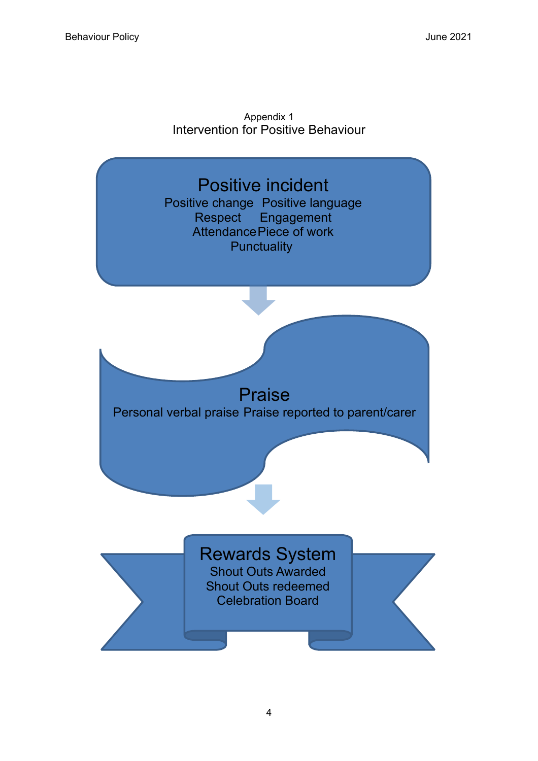



4